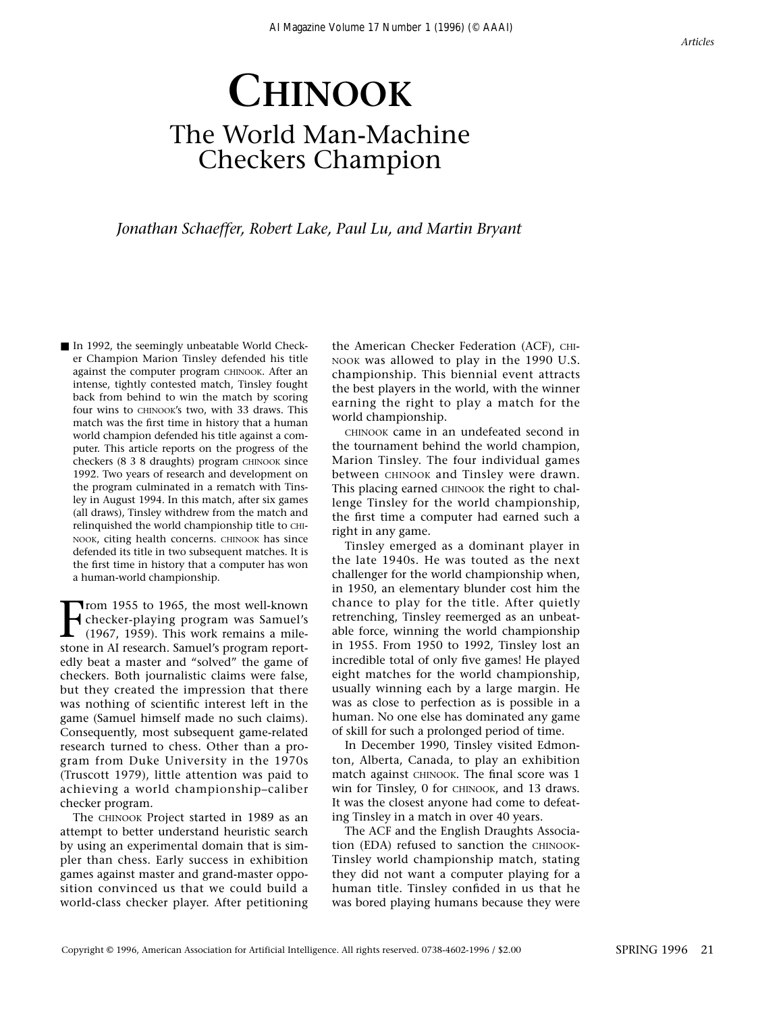#### *Articles*

# **CHINOOK** The World Man-Machine Checkers Champion

*Jonathan Schaeffer, Robert Lake, Paul Lu, and Martin Bryant*

■ In 1992, the seemingly unbeatable World Checker Champion Marion Tinsley defended his title against the computer program CHINOOK. After an intense, tightly contested match, Tinsley fought back from behind to win the match by scoring four wins to CHINOOK's two, with 33 draws. This match was the first time in history that a human world champion defended his title against a computer. This article reports on the progress of the checkers (8 3 8 draughts) program CHINOOK since 1992. Two years of research and development on the program culminated in a rematch with Tinsley in August 1994. In this match, after six games (all draws), Tinsley withdrew from the match and relinquished the world championship title to CHI-NOOK, citing health concerns. CHINOOK has since defended its title in two subsequent matches. It is the first time in history that a computer has won a human-world championship.

From 1955 to 1965, the most well-known<br>
checker-playing program was Samuel's<br>
(1967, 1959). This work remains a mile-<br>
stone in AI research. Samuel's program report-Trom 1955 to 1965, the most well-known checker-playing program was Samuel's (1967, 1959). This work remains a mileedly beat a master and "solved" the game of checkers. Both journalistic claims were false, but they created the impression that there was nothing of scientific interest left in the game (Samuel himself made no such claims). Consequently, most subsequent game-related research turned to chess. Other than a program from Duke University in the 1970s (Truscott 1979), little attention was paid to achieving a world championship–caliber checker program.

The CHINOOK Project started in 1989 as an attempt to better understand heuristic search by using an experimental domain that is simpler than chess. Early success in exhibition games against master and grand-master opposition convinced us that we could build a world-class checker player. After petitioning the American Checker Federation (ACF), CHI-NOOK was allowed to play in the 1990 U.S. championship. This biennial event attracts the best players in the world, with the winner earning the right to play a match for the world championship.

CHINOOK came in an undefeated second in the tournament behind the world champion, Marion Tinsley. The four individual games between CHINOOK and Tinsley were drawn. This placing earned CHINOOK the right to challenge Tinsley for the world championship, the first time a computer had earned such a right in any game.

Tinsley emerged as a dominant player in the late 1940s. He was touted as the next challenger for the world championship when, in 1950, an elementary blunder cost him the chance to play for the title. After quietly retrenching, Tinsley reemerged as an unbeatable force, winning the world championship in 1955. From 1950 to 1992, Tinsley lost an incredible total of only five games! He played eight matches for the world championship, usually winning each by a large margin. He was as close to perfection as is possible in a human. No one else has dominated any game of skill for such a prolonged period of time.

In December 1990, Tinsley visited Edmonton, Alberta, Canada, to play an exhibition match against CHINOOK. The final score was 1 win for Tinsley, 0 for CHINOOK, and 13 draws. It was the closest anyone had come to defeating Tinsley in a match in over 40 years.

The ACF and the English Draughts Association (EDA) refused to sanction the CHINOOK-Tinsley world championship match, stating they did not want a computer playing for a human title. Tinsley confided in us that he was bored playing humans because they were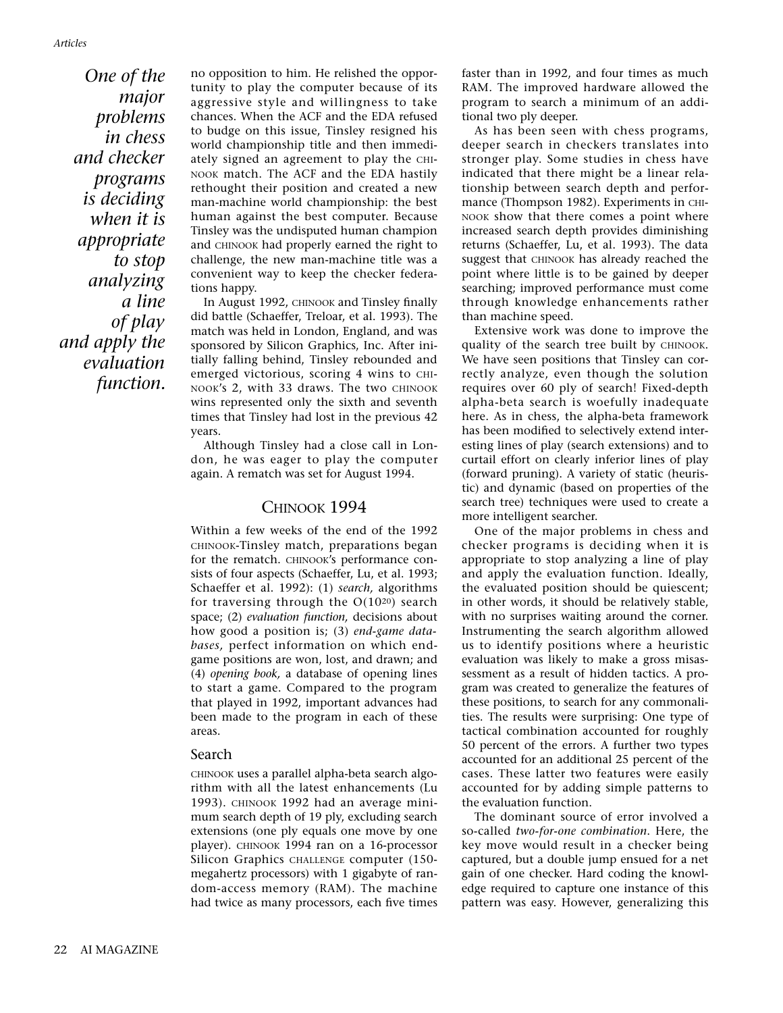*One of the major problems in chess and checker programs is deciding when it is appropriate to stop analyzing a line of play and apply the evaluation function.*

no opposition to him. He relished the opportunity to play the computer because of its aggressive style and willingness to take chances. When the ACF and the EDA refused to budge on this issue, Tinsley resigned his world championship title and then immediately signed an agreement to play the CHI-NOOK match. The ACF and the EDA hastily rethought their position and created a new man-machine world championship: the best human against the best computer. Because Tinsley was the undisputed human champion and CHINOOK had properly earned the right to challenge, the new man-machine title was a convenient way to keep the checker federations happy.

In August 1992, CHINOOK and Tinsley finally did battle (Schaeffer, Treloar, et al. 1993). The match was held in London, England, and was sponsored by Silicon Graphics, Inc. After initially falling behind, Tinsley rebounded and emerged victorious, scoring 4 wins to CHI-NOOK's 2, with 33 draws. The two CHINOOK wins represented only the sixth and seventh times that Tinsley had lost in the previous 42 years.

Although Tinsley had a close call in London, he was eager to play the computer again. A rematch was set for August 1994.

## CHINOOK 1994

Within a few weeks of the end of the 1992 CHINOOK-Tinsley match, preparations began for the rematch. CHINOOK's performance consists of four aspects (Schaeffer, Lu, et al. 1993; Schaeffer et al. 1992): (1) *search,* algorithms for traversing through the  $O(10^{20})$  search space; (2) *evaluation function,* decisions about how good a position is; (3) *end-game databases,* perfect information on which endgame positions are won, lost, and drawn; and (4) *opening book,* a database of opening lines to start a game. Compared to the program that played in 1992, important advances had been made to the program in each of these areas.

#### Search

CHINOOK uses a parallel alpha-beta search algorithm with all the latest enhancements (Lu 1993). CHINOOK 1992 had an average minimum search depth of 19 ply, excluding search extensions (one ply equals one move by one player). CHINOOK 1994 ran on a 16-processor Silicon Graphics CHALLENGE computer (150 megahertz processors) with 1 gigabyte of random-access memory (RAM). The machine had twice as many processors, each five times faster than in 1992, and four times as much RAM. The improved hardware allowed the program to search a minimum of an additional two ply deeper.

As has been seen with chess programs, deeper search in checkers translates into stronger play. Some studies in chess have indicated that there might be a linear relationship between search depth and performance (Thompson 1982). Experiments in CHI-NOOK show that there comes a point where increased search depth provides diminishing returns (Schaeffer, Lu, et al. 1993). The data suggest that CHINOOK has already reached the point where little is to be gained by deeper searching; improved performance must come through knowledge enhancements rather than machine speed.

Extensive work was done to improve the quality of the search tree built by CHINOOK. We have seen positions that Tinsley can correctly analyze, even though the solution requires over 60 ply of search! Fixed-depth alpha-beta search is woefully inadequate here. As in chess, the alpha-beta framework has been modified to selectively extend interesting lines of play (search extensions) and to curtail effort on clearly inferior lines of play (forward pruning). A variety of static (heuristic) and dynamic (based on properties of the search tree) techniques were used to create a more intelligent searcher.

One of the major problems in chess and checker programs is deciding when it is appropriate to stop analyzing a line of play and apply the evaluation function. Ideally, the evaluated position should be quiescent; in other words, it should be relatively stable, with no surprises waiting around the corner. Instrumenting the search algorithm allowed us to identify positions where a heuristic evaluation was likely to make a gross misassessment as a result of hidden tactics. A program was created to generalize the features of these positions, to search for any commonalities. The results were surprising: One type of tactical combination accounted for roughly 50 percent of the errors. A further two types accounted for an additional 25 percent of the cases. These latter two features were easily accounted for by adding simple patterns to the evaluation function.

The dominant source of error involved a so-called *two-for-one combination*. Here, the key move would result in a checker being captured, but a double jump ensued for a net gain of one checker. Hard coding the knowledge required to capture one instance of this pattern was easy. However, generalizing this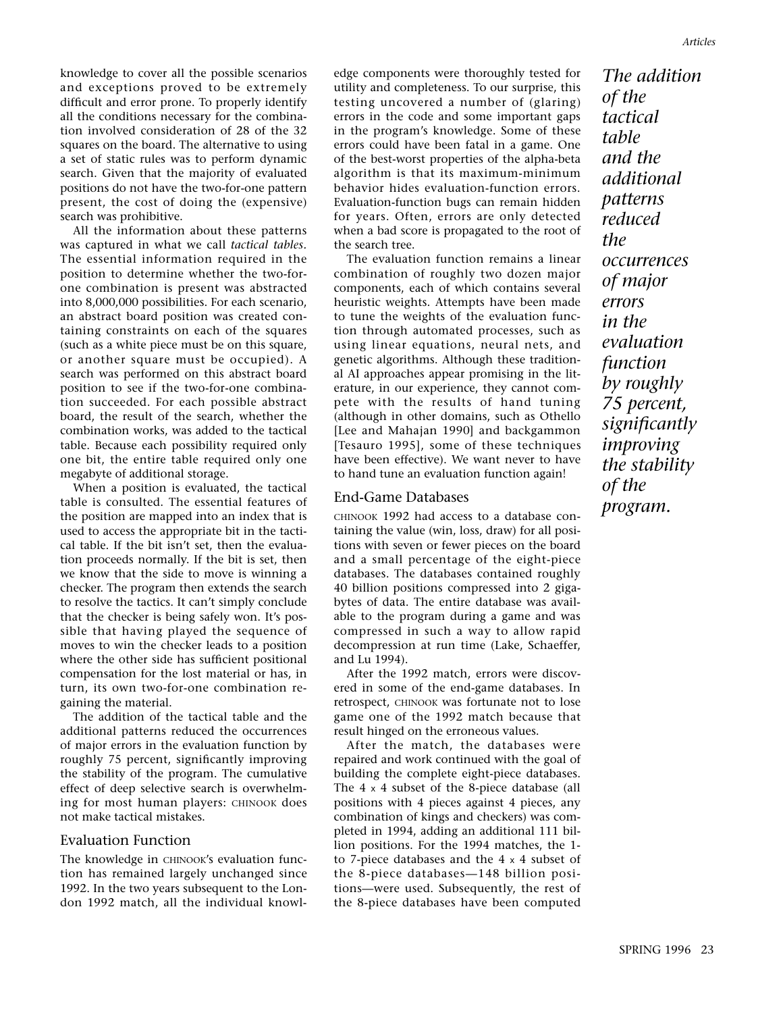knowledge to cover all the possible scenarios and exceptions proved to be extremely difficult and error prone. To properly identify all the conditions necessary for the combination involved consideration of 28 of the 32 squares on the board. The alternative to using a set of static rules was to perform dynamic search. Given that the majority of evaluated positions do not have the two-for-one pattern present, the cost of doing the (expensive) search was prohibitive.

All the information about these patterns was captured in what we call *tactical tables.* The essential information required in the position to determine whether the two-forone combination is present was abstracted into 8,000,000 possibilities. For each scenario, an abstract board position was created containing constraints on each of the squares (such as a white piece must be on this square, or another square must be occupied). A search was performed on this abstract board position to see if the two-for-one combination succeeded. For each possible abstract board, the result of the search, whether the combination works, was added to the tactical table. Because each possibility required only one bit, the entire table required only one megabyte of additional storage.

When a position is evaluated, the tactical table is consulted. The essential features of the position are mapped into an index that is used to access the appropriate bit in the tactical table. If the bit isn't set, then the evaluation proceeds normally. If the bit is set, then we know that the side to move is winning a checker. The program then extends the search to resolve the tactics. It can't simply conclude that the checker is being safely won. It's possible that having played the sequence of moves to win the checker leads to a position where the other side has sufficient positional compensation for the lost material or has, in turn, its own two-for-one combination regaining the material.

The addition of the tactical table and the additional patterns reduced the occurrences of major errors in the evaluation function by roughly 75 percent, significantly improving the stability of the program. The cumulative effect of deep selective search is overwhelming for most human players: CHINOOK does not make tactical mistakes.

#### Evaluation Function

The knowledge in CHINOOK's evaluation function has remained largely unchanged since 1992. In the two years subsequent to the London 1992 match, all the individual knowledge components were thoroughly tested for utility and completeness. To our surprise, this testing uncovered a number of (glaring) errors in the code and some important gaps in the program's knowledge. Some of these errors could have been fatal in a game. One of the best-worst properties of the alpha-beta algorithm is that its maximum-minimum behavior hides evaluation-function errors. Evaluation-function bugs can remain hidden for years. Often, errors are only detected when a bad score is propagated to the root of the search tree.

The evaluation function remains a linear combination of roughly two dozen major components, each of which contains several heuristic weights. Attempts have been made to tune the weights of the evaluation function through automated processes, such as using linear equations, neural nets, and genetic algorithms. Although these traditional AI approaches appear promising in the literature, in our experience, they cannot compete with the results of hand tuning (although in other domains, such as Othello [Lee and Mahajan 1990] and backgammon [Tesauro 1995], some of these techniques have been effective). We want never to have to hand tune an evaluation function again!

#### End-Game Databases

CHINOOK 1992 had access to a database containing the value (win, loss, draw) for all positions with seven or fewer pieces on the board and a small percentage of the eight-piece databases. The databases contained roughly 40 billion positions compressed into 2 gigabytes of data. The entire database was available to the program during a game and was compressed in such a way to allow rapid decompression at run time (Lake, Schaeffer, and Lu 1994).

After the 1992 match, errors were discovered in some of the end-game databases. In retrospect, CHINOOK was fortunate not to lose game one of the 1992 match because that result hinged on the erroneous values.

After the match, the databases were repaired and work continued with the goal of building the complete eight-piece databases. The 4 x 4 subset of the 8-piece database (all positions with 4 pieces against 4 pieces, any combination of kings and checkers) was completed in 1994, adding an additional 111 billion positions. For the 1994 matches, the 1 to 7-piece databases and the 4 x 4 subset of the 8-piece databases—148 billion positions—were used. Subsequently, the rest of the 8-piece databases have been computed

*The addition of the tactical table and the additional patterns reduced the occurrences of major errors in the evaluation function by roughly 75 percent, significantly improving the stability of the program.*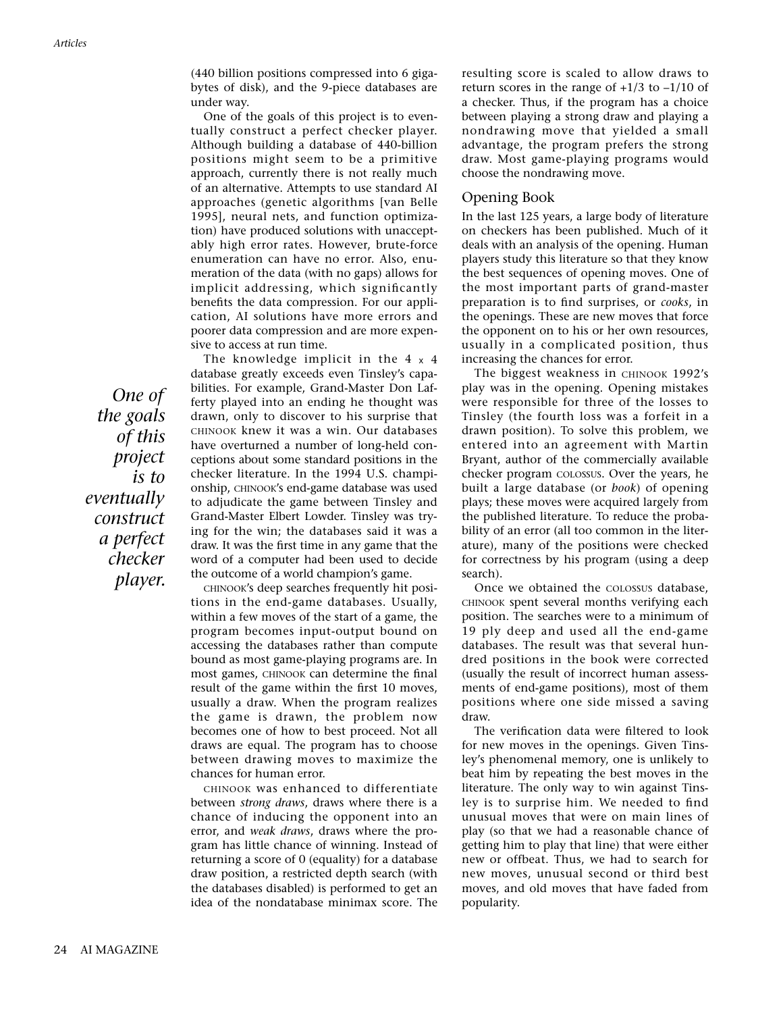(440 billion positions compressed into 6 gigabytes of disk), and the 9-piece databases are under way.

One of the goals of this project is to eventually construct a perfect checker player. Although building a database of 440-billion positions might seem to be a primitive approach, currently there is not really much of an alternative. Attempts to use standard AI approaches (genetic algorithms [van Belle 1995], neural nets, and function optimization) have produced solutions with unacceptably high error rates. However, brute-force enumeration can have no error. Also, enumeration of the data (with no gaps) allows for implicit addressing, which significantly benefits the data compression. For our application, AI solutions have more errors and poorer data compression and are more expensive to access at run time.

The knowledge implicit in the  $4 \times 4$ database greatly exceeds even Tinsley's capabilities. For example, Grand-Master Don Lafferty played into an ending he thought was drawn, only to discover to his surprise that CHINOOK knew it was a win. Our databases have overturned a number of long-held conceptions about some standard positions in the checker literature. In the 1994 U.S. championship, CHINOOK's end-game database was used to adjudicate the game between Tinsley and Grand-Master Elbert Lowder. Tinsley was trying for the win; the databases said it was a draw. It was the first time in any game that the word of a computer had been used to decide the outcome of a world champion's game.

CHINOOK's deep searches frequently hit positions in the end-game databases. Usually, within a few moves of the start of a game, the program becomes input-output bound on accessing the databases rather than compute bound as most game-playing programs are. In most games, CHINOOK can determine the final result of the game within the first 10 moves, usually a draw. When the program realizes the game is drawn, the problem now becomes one of how to best proceed. Not all draws are equal. The program has to choose between drawing moves to maximize the chances for human error.

CHINOOK was enhanced to differentiate between *strong draws*, draws where there is a chance of inducing the opponent into an error, and *weak draws*, draws where the program has little chance of winning. Instead of returning a score of 0 (equality) for a database draw position, a restricted depth search (with the databases disabled) is performed to get an idea of the nondatabase minimax score. The

resulting score is scaled to allow draws to return scores in the range of  $+1/3$  to  $-1/10$  of a checker. Thus, if the program has a choice between playing a strong draw and playing a nondrawing move that yielded a small advantage, the program prefers the strong draw. Most game-playing programs would choose the nondrawing move.

# Opening Book

In the last 125 years, a large body of literature on checkers has been published. Much of it deals with an analysis of the opening. Human players study this literature so that they know the best sequences of opening moves. One of the most important parts of grand-master preparation is to find surprises, or *cooks*, in the openings. These are new moves that force the opponent on to his or her own resources, usually in a complicated position, thus increasing the chances for error.

The biggest weakness in CHINOOK 1992's play was in the opening. Opening mistakes were responsible for three of the losses to Tinsley (the fourth loss was a forfeit in a drawn position). To solve this problem, we entered into an agreement with Martin Bryant, author of the commercially available checker program COLOSSUS. Over the years, he built a large database (or *book*) of opening plays; these moves were acquired largely from the published literature. To reduce the probability of an error (all too common in the literature), many of the positions were checked for correctness by his program (using a deep search).

Once we obtained the COLOSSUS database, CHINOOK spent several months verifying each position. The searches were to a minimum of 19 ply deep and used all the end-game databases. The result was that several hundred positions in the book were corrected (usually the result of incorrect human assessments of end-game positions), most of them positions where one side missed a saving draw.

The verification data were filtered to look for new moves in the openings. Given Tinsley's phenomenal memory, one is unlikely to beat him by repeating the best moves in the literature. The only way to win against Tinsley is to surprise him. We needed to find unusual moves that were on main lines of play (so that we had a reasonable chance of getting him to play that line) that were either new or offbeat. Thus, we had to search for new moves, unusual second or third best moves, and old moves that have faded from popularity.

*One of the goals of this project is to eventually construct a perfect checker player.*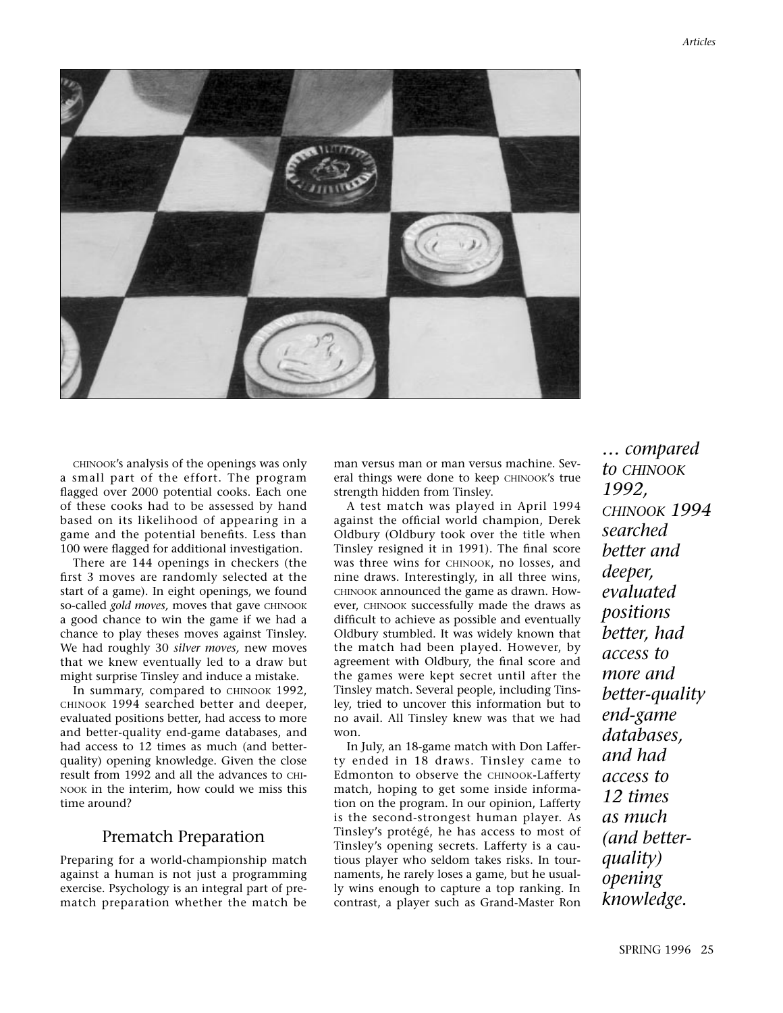

CHINOOK's analysis of the openings was only a small part of the effort. The program flagged over 2000 potential cooks. Each one of these cooks had to be assessed by hand based on its likelihood of appearing in a game and the potential benefits. Less than 100 were flagged for additional investigation.

There are 144 openings in checkers (the first 3 moves are randomly selected at the start of a game). In eight openings, we found so-called *gold moves*, moves that gave CHINOOK a good chance to win the game if we had a chance to play theses moves against Tinsley. We had roughly 30 *silver moves,* new moves that we knew eventually led to a draw but might surprise Tinsley and induce a mistake.

In summary, compared to CHINOOK 1992, CHINOOK 1994 searched better and deeper, evaluated positions better, had access to more and better-quality end-game databases, and had access to 12 times as much (and betterquality) opening knowledge. Given the close result from 1992 and all the advances to CHI-NOOK in the interim, how could we miss this time around?

# Prematch Preparation

Preparing for a world-championship match against a human is not just a programming exercise. Psychology is an integral part of prematch preparation whether the match be

man versus man or man versus machine. Several things were done to keep CHINOOK's true strength hidden from Tinsley.

A test match was played in April 1994 against the official world champion, Derek Oldbury (Oldbury took over the title when Tinsley resigned it in 1991). The final score was three wins for CHINOOK, no losses, and nine draws. Interestingly, in all three wins, CHINOOK announced the game as drawn. However, CHINOOK successfully made the draws as difficult to achieve as possible and eventually Oldbury stumbled. It was widely known that the match had been played. However, by agreement with Oldbury, the final score and the games were kept secret until after the Tinsley match. Several people, including Tinsley, tried to uncover this information but to no avail. All Tinsley knew was that we had won.

In July, an 18-game match with Don Lafferty ended in 18 draws. Tinsley came to Edmonton to observe the CHINOOK-Lafferty match, hoping to get some inside information on the program. In our opinion, Lafferty is the second-strongest human player. As Tinsley's protégé, he has access to most of Tinsley's opening secrets. Lafferty is a cautious player who seldom takes risks. In tournaments, he rarely loses a game, but he usually wins enough to capture a top ranking. In contrast, a player such as Grand-Master Ron

*… compared to CHINOOK 1992, CHINOOK 1994 searched better and deeper, evaluated positions better, had access to more and better-quality end-game databases, and had access to 12 times as much (and betterquality) opening knowledge.*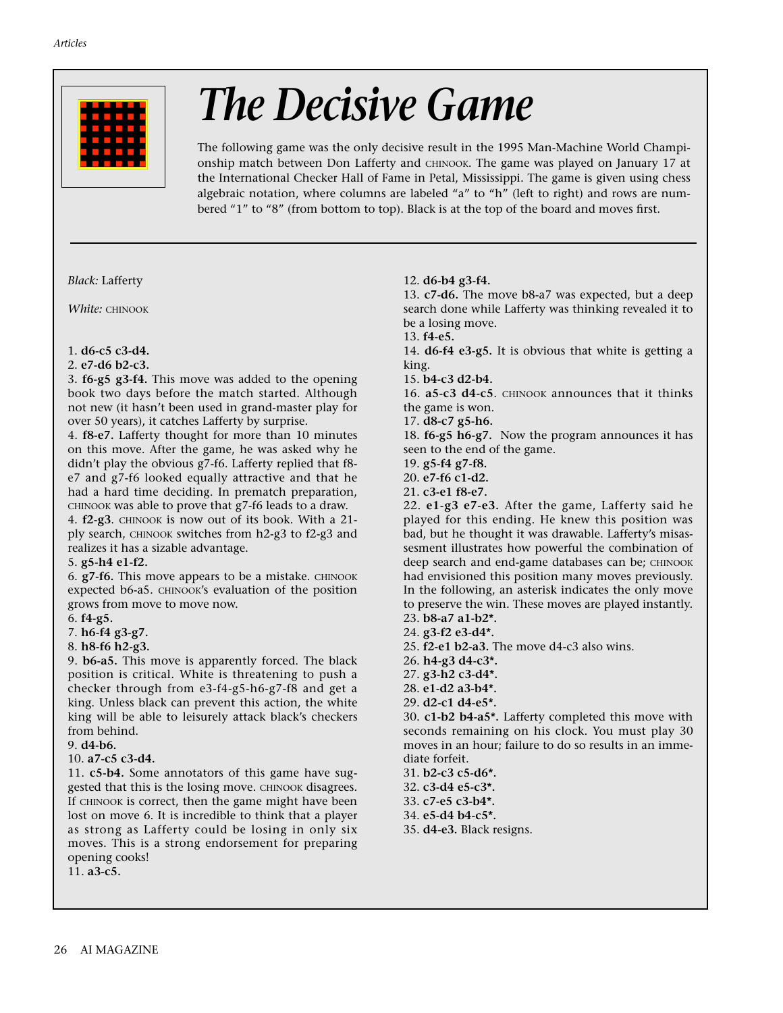

# *The Decisive Game*

The following game was the only decisive result in the 1995 Man-Machine World Championship match between Don Lafferty and CHINOOK. The game was played on January 17 at the International Checker Hall of Fame in Petal, Mississippi. The game is given using chess algebraic notation, where columns are labeled "a" to "h" (left to right) and rows are numbered "1" to "8" (from bottom to top). Black is at the top of the board and moves first.

*Black:* Lafferty

*White:* CHINOOK

#### 1. **d6-c5 c3-d4.**

#### 2. **e7-d6 b2-c3.**

3. **f6-g5 g3-f4.** This move was added to the opening book two days before the match started. Although not new (it hasn't been used in grand-master play for over 50 years), it catches Lafferty by surprise.

4. **f8-e7.** Lafferty thought for more than 10 minutes on this move. After the game, he was asked why he didn't play the obvious g7-f6. Lafferty replied that f8 e7 and g7-f6 looked equally attractive and that he had a hard time deciding. In prematch preparation, CHINOOK was able to prove that g7-f6 leads to a draw. 4. **f2-g3**. CHINOOK is now out of its book. With a 21 ply search, CHINOOK switches from h2-g3 to f2-g3 and

realizes it has a sizable advantage.

#### 5. **g5-h4 e1-f2.**

6. **g7-f6.** This move appears to be a mistake. CHINOOK expected b6-a5. CHINOOK's evaluation of the position grows from move to move now.

6. **f4-g5.** 

7. **h6-f4 g3-g7.**

8. **h8-f6 h2-g3.**

9. **b6-a5.** This move is apparently forced. The black position is critical. White is threatening to push a checker through from e3-f4-g5-h6-g7-f8 and get a king. Unless black can prevent this action, the white king will be able to leisurely attack black's checkers from behind.

9. **d4-b6.**

10. **a7-c5 c3-d4.**

11. **c5-b4.** Some annotators of this game have suggested that this is the losing move. CHINOOK disagrees. If CHINOOK is correct, then the game might have been lost on move 6. It is incredible to think that a player as strong as Lafferty could be losing in only six moves. This is a strong endorsement for preparing opening cooks!

11. **a3-c5.**

12. **d6-b4 g3-f4.**

13. **c7-d6.** The move b8-a7 was expected, but a deep search done while Lafferty was thinking revealed it to be a losing move.

13. **f4-e5.**

14. **d6-f4 e3-g5.** It is obvious that white is getting a king.

15. **b4-c3 d2-b4.**

16. **a5-c3 d4-c5**. CHINOOK announces that it thinks the game is won.

17. **d8-c7 g5-h6.**

18. **f6-g5 h6-g7.** Now the program announces it has seen to the end of the game.

19. **g5-f4 g7-f8.**

20. **e7-f6 c1-d2.**

21. **c3-e1 f8-e7.**

22. **e1-g3 e7-e3.** After the game, Lafferty said he played for this ending. He knew this position was bad, but he thought it was drawable. Lafferty's misassesment illustrates how powerful the combination of deep search and end-game databases can be; CHINOOK had envisioned this position many moves previously. In the following, an asterisk indicates the only move to preserve the win. These moves are played instantly.

- 23. **b8-a7 a1-b2\*.**
- 24. **g3-f2 e3-d4\*.**
- 25. **f2-e1 b2-a3.** The move d4-c3 also wins.
- 26. **h4-g3 d4-c3\*.**
- 27. **g3-h2 c3-d4\*.**
- 28. **e1-d2 a3-b4\*.**
- 29. **d2-c1 d4-e5\*.**

30. **c1-b2 b4-a5\*.** Lafferty completed this move with seconds remaining on his clock. You must play 30 moves in an hour; failure to do so results in an immediate forfeit.

31. **b2-c3 c5-d6\*.**

32. **c3-d4 e5-c3\*.**

33. **c7-e5 c3-b4\*.**

34. **e5-d4 b4-c5\*.**

35. **d4-e3.** Black resigns.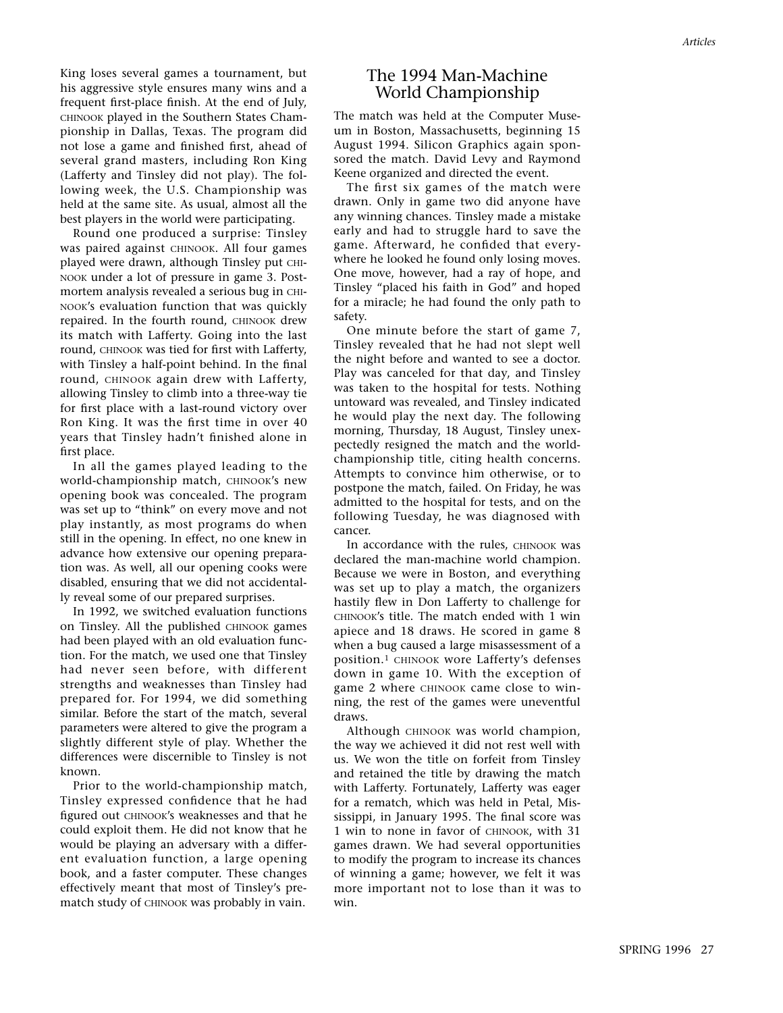King loses several games a tournament, but his aggressive style ensures many wins and a frequent first-place finish. At the end of July, CHINOOK played in the Southern States Championship in Dallas, Texas. The program did not lose a game and finished first, ahead of several grand masters, including Ron King (Lafferty and Tinsley did not play). The following week, the U.S. Championship was held at the same site. As usual, almost all the best players in the world were participating.

Round one produced a surprise: Tinsley was paired against CHINOOK. All four games played were drawn, although Tinsley put CHI-NOOK under a lot of pressure in game 3. Postmortem analysis revealed a serious bug in CHI-NOOK's evaluation function that was quickly repaired. In the fourth round, CHINOOK drew its match with Lafferty. Going into the last round, CHINOOK was tied for first with Lafferty, with Tinsley a half-point behind. In the final round, CHINOOK again drew with Lafferty, allowing Tinsley to climb into a three-way tie for first place with a last-round victory over Ron King. It was the first time in over 40 years that Tinsley hadn't finished alone in first place.

In all the games played leading to the world-championship match, CHINOOK's new opening book was concealed. The program was set up to "think" on every move and not play instantly, as most programs do when still in the opening. In effect, no one knew in advance how extensive our opening preparation was. As well, all our opening cooks were disabled, ensuring that we did not accidentally reveal some of our prepared surprises.

In 1992, we switched evaluation functions on Tinsley. All the published CHINOOK games had been played with an old evaluation function. For the match, we used one that Tinsley had never seen before, with different strengths and weaknesses than Tinsley had prepared for. For 1994, we did something similar. Before the start of the match, several parameters were altered to give the program a slightly different style of play. Whether the differences were discernible to Tinsley is not known.

Prior to the world-championship match, Tinsley expressed confidence that he had figured out CHINOOK's weaknesses and that he could exploit them. He did not know that he would be playing an adversary with a different evaluation function, a large opening book, and a faster computer. These changes effectively meant that most of Tinsley's prematch study of CHINOOK was probably in vain.

# The 1994 Man-Machine World Championship

The match was held at the Computer Museum in Boston, Massachusetts, beginning 15 August 1994. Silicon Graphics again sponsored the match. David Levy and Raymond Keene organized and directed the event.

The first six games of the match were drawn. Only in game two did anyone have any winning chances. Tinsley made a mistake early and had to struggle hard to save the game. Afterward, he confided that everywhere he looked he found only losing moves. One move, however, had a ray of hope, and Tinsley "placed his faith in God" and hoped for a miracle; he had found the only path to safety.

One minute before the start of game 7, Tinsley revealed that he had not slept well the night before and wanted to see a doctor. Play was canceled for that day, and Tinsley was taken to the hospital for tests. Nothing untoward was revealed, and Tinsley indicated he would play the next day. The following morning, Thursday, 18 August, Tinsley unexpectedly resigned the match and the worldchampionship title, citing health concerns. Attempts to convince him otherwise, or to postpone the match, failed. On Friday, he was admitted to the hospital for tests, and on the following Tuesday, he was diagnosed with cancer.

In accordance with the rules, CHINOOK was declared the man-machine world champion. Because we were in Boston, and everything was set up to play a match, the organizers hastily flew in Don Lafferty to challenge for CHINOOK's title. The match ended with 1 win apiece and 18 draws. He scored in game 8 when a bug caused a large misassessment of a position.1 CHINOOK wore Lafferty's defenses down in game 10. With the exception of game 2 where CHINOOK came close to winning, the rest of the games were uneventful draws.

Although CHINOOK was world champion, the way we achieved it did not rest well with us. We won the title on forfeit from Tinsley and retained the title by drawing the match with Lafferty. Fortunately, Lafferty was eager for a rematch, which was held in Petal, Mississippi, in January 1995. The final score was 1 win to none in favor of CHINOOK, with 31 games drawn. We had several opportunities to modify the program to increase its chances of winning a game; however, we felt it was more important not to lose than it was to win.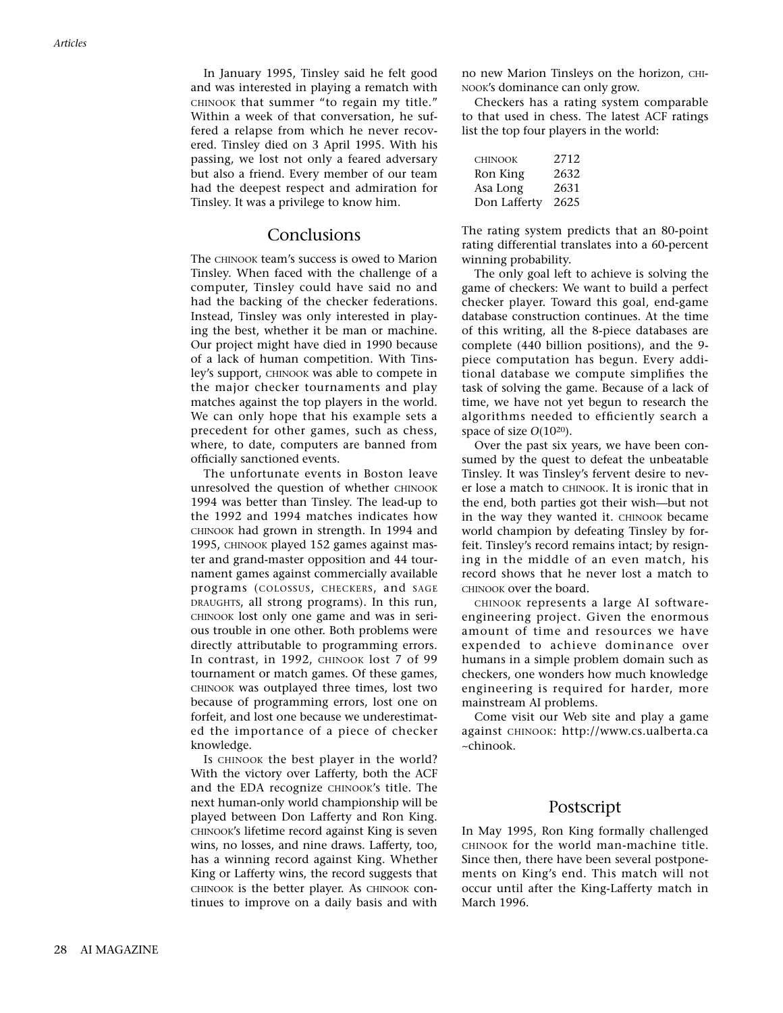In January 1995, Tinsley said he felt good and was interested in playing a rematch with CHINOOK that summer "to regain my title." Within a week of that conversation, he suffered a relapse from which he never recovered. Tinsley died on 3 April 1995. With his passing, we lost not only a feared adversary but also a friend. Every member of our team had the deepest respect and admiration for Tinsley. It was a privilege to know him.

# Conclusions

The CHINOOK team's success is owed to Marion Tinsley. When faced with the challenge of a computer, Tinsley could have said no and had the backing of the checker federations. Instead, Tinsley was only interested in playing the best, whether it be man or machine. Our project might have died in 1990 because of a lack of human competition. With Tinsley's support, CHINOOK was able to compete in the major checker tournaments and play matches against the top players in the world. We can only hope that his example sets a precedent for other games, such as chess, where, to date, computers are banned from officially sanctioned events.

The unfortunate events in Boston leave unresolved the question of whether CHINOOK 1994 was better than Tinsley. The lead-up to the 1992 and 1994 matches indicates how CHINOOK had grown in strength. In 1994 and 1995, CHINOOK played 152 games against master and grand-master opposition and 44 tournament games against commercially available programs (COLOSSUS, CHECKERS, and SAGE DRAUGHTS, all strong programs). In this run, CHINOOK lost only one game and was in serious trouble in one other. Both problems were directly attributable to programming errors. In contrast, in 1992, CHINOOK lost 7 of 99 tournament or match games. Of these games, CHINOOK was outplayed three times, lost two because of programming errors, lost one on forfeit, and lost one because we underestimated the importance of a piece of checker knowledge.

Is CHINOOK the best player in the world? With the victory over Lafferty, both the ACF and the EDA recognize CHINOOK's title. The next human-only world championship will be played between Don Lafferty and Ron King. CHINOOK's lifetime record against King is seven wins, no losses, and nine draws. Lafferty, too, has a winning record against King. Whether King or Lafferty wins, the record suggests that CHINOOK is the better player. As CHINOOK continues to improve on a daily basis and with no new Marion Tinsleys on the horizon, CHI-NOOK's dominance can only grow.

Checkers has a rating system comparable to that used in chess. The latest ACF ratings list the top four players in the world:

| <b>CHINOOK</b> | 2712 |
|----------------|------|
| Ron King       | 2632 |
| Asa Long       | 2631 |
| Don Lafferty   | 2625 |

The rating system predicts that an 80-point rating differential translates into a 60-percent winning probability.

The only goal left to achieve is solving the game of checkers: We want to build a perfect checker player. Toward this goal, end-game database construction continues. At the time of this writing, all the 8-piece databases are complete (440 billion positions), and the 9 piece computation has begun. Every additional database we compute simplifies the task of solving the game. Because of a lack of time, we have not yet begun to research the algorithms needed to efficiently search a space of size *O*(1020).

Over the past six years, we have been consumed by the quest to defeat the unbeatable Tinsley. It was Tinsley's fervent desire to never lose a match to CHINOOK. It is ironic that in the end, both parties got their wish—but not in the way they wanted it. CHINOOK became world champion by defeating Tinsley by forfeit. Tinsley's record remains intact; by resigning in the middle of an even match, his record shows that he never lost a match to CHINOOK over the board.

CHINOOK represents a large AI softwareengineering project. Given the enormous amount of time and resources we have expended to achieve dominance over humans in a simple problem domain such as checkers, one wonders how much knowledge engineering is required for harder, more mainstream AI problems.

Come visit our Web site and play a game against CHINOOK: http://www.cs.ualberta.ca ~chinook.

### Postscript

In May 1995, Ron King formally challenged CHINOOK for the world man-machine title. Since then, there have been several postponements on King's end. This match will not occur until after the King-Lafferty match in March 1996.